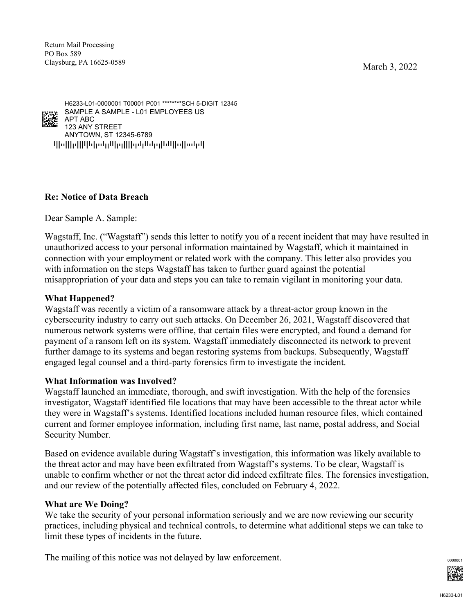Return Mail Processing PO Box 589 Claysburg, PA 16625-0589 March 3, 2022



# **Re: Notice of Data Breach**

Dear Sample A. Sample:

Wagstaff, Inc. ("Wagstaff") sends this letter to notify you of a recent incident that may have resulted in unauthorized access to your personal information maintained by Wagstaff, which it maintained in connection with your employment or related work with the company. This letter also provides you with information on the steps Wagstaff has taken to further guard against the potential misappropriation of your data and steps you can take to remain vigilant in monitoring your data.

# **What Happened?**

Wagstaff was recently a victim of a ransomware attack by a threat-actor group known in the cybersecurity industry to carry out such attacks. On December 26, 2021, Wagstaff discovered that numerous network systems were offline, that certain files were encrypted, and found a demand for payment of a ransom left on its system. Wagstaff immediately disconnected its network to prevent further damage to its systems and began restoring systems from backups. Subsequently, Wagstaff engaged legal counsel and a third-party forensics firm to investigate the incident.

# **What Information was Involved?**

Wagstaff launched an immediate, thorough, and swift investigation. With the help of the forensics investigator, Wagstaff identified file locations that may have been accessible to the threat actor while they were in Wagstaff's systems. Identified locations included human resource files, which contained current and former employee information, including first name, last name, postal address, and Social Security Number.

Based on evidence available during Wagstaff's investigation, this information was likely available to the threat actor and may have been exfiltrated from Wagstaff's systems. To be clear, Wagstaff is unable to confirm whether or not the threat actor did indeed exfiltrate files. The forensics investigation, and our review of the potentially affected files, concluded on February 4, 2022.

# **What are We Doing?**

We take the security of your personal information seriously and we are now reviewing our security practices, including physical and technical controls, to determine what additional steps we can take to limit these types of incidents in the future.

The mailing of this notice was not delayed by law enforcement.

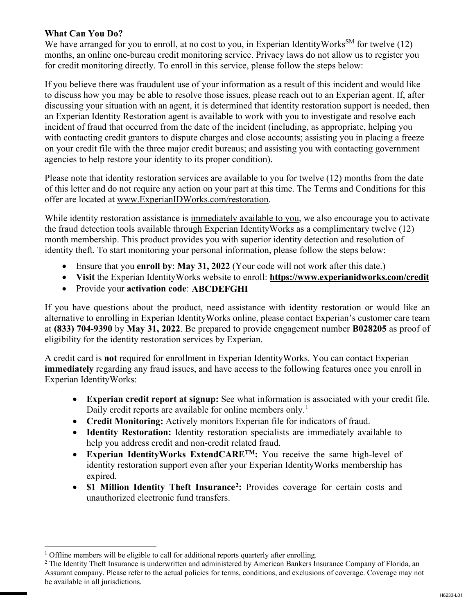# **What Can You Do?**

We have arranged for you to enroll, at no cost to you, in Experian IdentityWorks<sup>SM</sup> for twelve  $(12)$ months, an online one-bureau credit monitoring service. Privacy laws do not allow us to register you for credit monitoring directly. To enroll in this service, please follow the steps below:

If you believe there was fraudulent use of your information as a result of this incident and would like to discuss how you may be able to resolve those issues, please reach out to an Experian agent. If, after discussing your situation with an agent, it is determined that identity restoration support is needed, then an Experian Identity Restoration agent is available to work with you to investigate and resolve each incident of fraud that occurred from the date of the incident (including, as appropriate, helping you with contacting credit grantors to dispute charges and close accounts; assisting you in placing a freeze on your credit file with the three major credit bureaus; and assisting you with contacting government agencies to help restore your identity to its proper condition).

Please note that identity restoration services are available to you for twelve (12) months from the date of this letter and do not require any action on your part at this time. The Terms and Conditions for this offer are located at www.ExperianIDWorks.com/restoration.

While identity restoration assistance is immediately available to you, we also encourage you to activate the fraud detection tools available through Experian IdentityWorks as a complimentary twelve (12) month membership. This product provides you with superior identity detection and resolution of identity theft. To start monitoring your personal information, please follow the steps below:

- Ensure that you **enroll by**: **May 31, 2022** (Your code will not work after this date.)
- **Visit** the Experian IdentityWorks website to enroll: **https://www.experianidworks.com/credit**
- Provide your **activation code**: **ABCDEFGHI**

If you have questions about the product, need assistance with identity restoration or would like an alternative to enrolling in Experian IdentityWorks online, please contact Experian's customer care team at **(833) 704-9390** by **May 31, 2022**. Be prepared to provide engagement number **B028205** as proof of eligibility for the identity restoration services by Experian.

A credit card is **not** required for enrollment in Experian IdentityWorks. You can contact Experian **immediately** regarding any fraud issues, and have access to the following features once you enroll in Experian IdentityWorks:

- **Experian credit report at signup:** See what information is associated with your credit file. Daily credit reports are available for online members only.<sup>1</sup>
- **Credit Monitoring:** Actively monitors Experian file for indicators of fraud.
- **Identity Restoration:** Identity restoration specialists are immediately available to help you address credit and non-credit related fraud.
- **Experian IdentityWorks ExtendCARE<sup>TM</sup>:** You receive the same high-level of identity restoration support even after your Experian IdentityWorks membership has expired.
- **\$1 Million Identity Theft Insurance<sup>2</sup>:** Provides coverage for certain costs and unauthorized electronic fund transfers.

 $\overline{a}$ <sup>1</sup> Offline members will be eligible to call for additional reports quarterly after enrolling.

 $2$  The Identity Theft Insurance is underwritten and administered by American Bankers Insurance Company of Florida, an Assurant company. Please refer to the actual policies for terms, conditions, and exclusions of coverage. Coverage may not be available in all jurisdictions.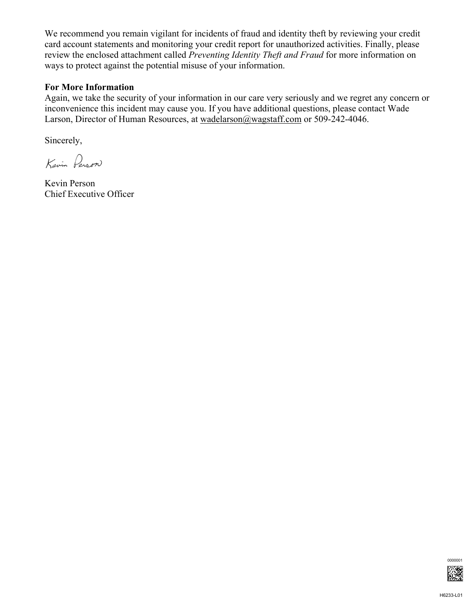We recommend you remain vigilant for incidents of fraud and identity theft by reviewing your credit card account statements and monitoring your credit report for unauthorized activities. Finally, please review the enclosed attachment called *Preventing Identity Theft and Fraud* for more information on ways to protect against the potential misuse of your information.

# **For More Information**

Again, we take the security of your information in our care very seriously and we regret any concern or inconvenience this incident may cause you. If you have additional questions, please contact Wade Larson, Director of Human Resources, at wadelarson@wagstaff.com or 509-242-4046.

Sincerely,

Kevin Person

Kevin Person Chief Executive Officer

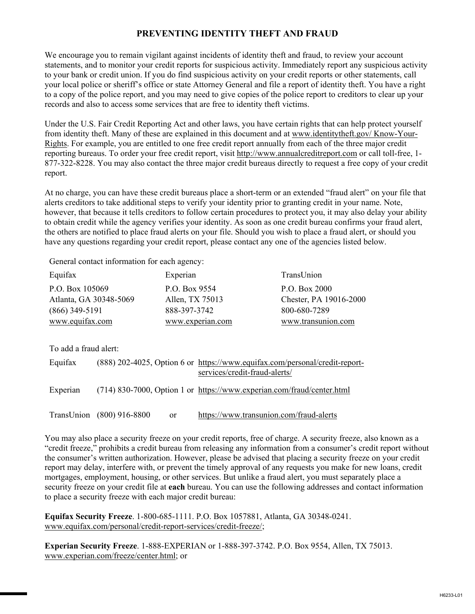# **PREVENTING IDENTITY THEFT AND FRAUD**

We encourage you to remain vigilant against incidents of identity theft and fraud, to review your account statements, and to monitor your credit reports for suspicious activity. Immediately report any suspicious activity to your bank or credit union. If you do find suspicious activity on your credit reports or other statements, call your local police or sheriff's office or state Attorney General and file a report of identity theft. You have a right to a copy of the police report, and you may need to give copies of the police report to creditors to clear up your records and also to access some services that are free to identity theft victims.

Under the U.S. Fair Credit Reporting Act and other laws, you have certain rights that can help protect yourself from identity theft. Many of these are explained in this document and at www.identitytheft.gov/ Know-Your-Rights. For example, you are entitled to one free credit report annually from each of the three major credit reporting bureaus. To order your free credit report, visit http://www.annualcreditreport.com or call toll-free, 1- 877-322-8228. You may also contact the three major credit bureaus directly to request a free copy of your credit report.

At no charge, you can have these credit bureaus place a short-term or an extended "fraud alert" on your file that alerts creditors to take additional steps to verify your identity prior to granting credit in your name. Note, however, that because it tells creditors to follow certain procedures to protect you, it may also delay your ability to obtain credit while the agency verifies your identity. As soon as one credit bureau confirms your fraud alert, the others are notified to place fraud alerts on your file. Should you wish to place a fraud alert, or should you have any questions regarding your credit report, please contact any one of the agencies listed below.

General contact information for each agency:

| Equifax                | Experian         | TransUnion             |
|------------------------|------------------|------------------------|
| P.O. Box 105069        | P.O. Box 9554    | P.O. Box 2000          |
| Atlanta, GA 30348-5069 | Allen, TX 75013  | Chester, PA 19016-2000 |
| $(866)$ 349-5191       | 888-397-3742     | 800-680-7289           |
| www.equifax.com        | www.experian.com | www.transunion.com     |

To add a fraud alert:

| Equifax  |                           |               | (888) 202-4025, Option 6 or https://www.equifax.com/personal/credit-report-<br>services/credit-fraud-alerts/ |
|----------|---------------------------|---------------|--------------------------------------------------------------------------------------------------------------|
| Experian |                           |               | (714) 830-7000, Option 1 or https://www.experian.com/fraud/center.html                                       |
|          | TransUnion (800) 916-8800 | <sub>or</sub> | https://www.transunion.com/fraud-alerts                                                                      |

You may also place a security freeze on your credit reports, free of charge. A security freeze, also known as a "credit freeze," prohibits a credit bureau from releasing any information from a consumer's credit report without the consumer's written authorization. However, please be advised that placing a security freeze on your credit report may delay, interfere with, or prevent the timely approval of any requests you make for new loans, credit mortgages, employment, housing, or other services. But unlike a fraud alert, you must separately place a security freeze on your credit file at **each** bureau. You can use the following addresses and contact information to place a security freeze with each major credit bureau:

**Equifax Security Freeze**. 1-800-685-1111. P.O. Box 1057881, Atlanta, GA 30348-0241. www.equifax.com/personal/credit-report-services/credit-freeze/;

**Experian Security Freeze**. 1-888-EXPERIAN or 1-888-397-3742. P.O. Box 9554, Allen, TX 75013. www.experian.com/freeze/center.html; or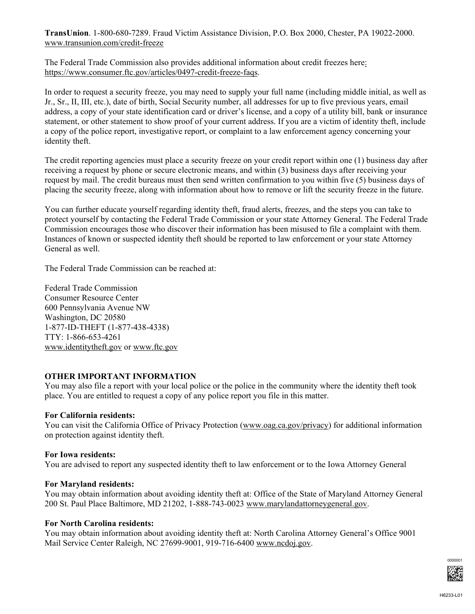**TransUnion**. 1-800-680-7289. Fraud Victim Assistance Division, P.O. Box 2000, Chester, PA 19022-2000. www.transunion.com/credit-freeze

The Federal Trade Commission also provides additional information about credit freezes here: https://www.consumer.ftc.gov/articles/0497-credit-freeze-faqs.

In order to request a security freeze, you may need to supply your full name (including middle initial, as well as Jr., Sr., II, III, etc.), date of birth, Social Security number, all addresses for up to five previous years, email address, a copy of your state identification card or driver's license, and a copy of a utility bill, bank or insurance statement, or other statement to show proof of your current address. If you are a victim of identity theft, include a copy of the police report, investigative report, or complaint to a law enforcement agency concerning your identity theft.

The credit reporting agencies must place a security freeze on your credit report within one (1) business day after receiving a request by phone or secure electronic means, and within (3) business days after receiving your request by mail. The credit bureaus must then send written confirmation to you within five (5) business days of placing the security freeze, along with information about how to remove or lift the security freeze in the future.

You can further educate yourself regarding identity theft, fraud alerts, freezes, and the steps you can take to protect yourself by contacting the Federal Trade Commission or your state Attorney General. The Federal Trade Commission encourages those who discover their information has been misused to file a complaint with them. Instances of known or suspected identity theft should be reported to law enforcement or your state Attorney General as well.

The Federal Trade Commission can be reached at:

Federal Trade Commission Consumer Resource Center 600 Pennsylvania Avenue NW Washington, DC 20580 1-877-ID-THEFT (1-877-438-4338) TTY: 1-866-653-4261 www.identitytheft.gov or www.ftc.gov

### **OTHER IMPORTANT INFORMATION**

You may also file a report with your local police or the police in the community where the identity theft took place. You are entitled to request a copy of any police report you file in this matter.

#### **For California residents:**

You can visit the California Office of Privacy Protection (www.oag.ca.gov/privacy) for additional information on protection against identity theft.

#### **For Iowa residents:**

You are advised to report any suspected identity theft to law enforcement or to the Iowa Attorney General

#### **For Maryland residents:**

You may obtain information about avoiding identity theft at: Office of the State of Maryland Attorney General 200 St. Paul Place Baltimore, MD 21202, 1-888-743-0023 www.marylandattorneygeneral.gov.

#### **For North Carolina residents:**

You may obtain information about avoiding identity theft at: North Carolina Attorney General's Office 9001 Mail Service Center Raleigh, NC 27699-9001, 919-716-6400 www.ncdoj.gov.